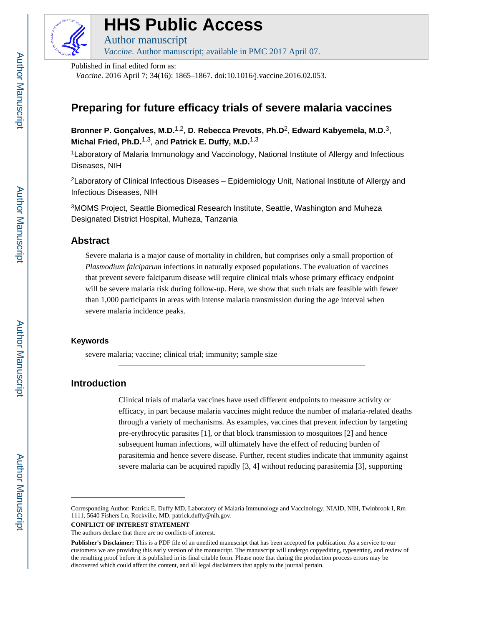

# **HHS Public Access**

Author manuscript *Vaccine*. Author manuscript; available in PMC 2017 April 07.

Published in final edited form as:

*Vaccine*. 2016 April 7; 34(16): 1865–1867. doi:10.1016/j.vaccine.2016.02.053.

# **Preparing for future efficacy trials of severe malaria vaccines**

**Bronner P. Gonçalves, M.D.**1,2, **D. Rebecca Prevots, Ph.D**2, **Edward Kabyemela, M.D.**3, **Michal Fried, Ph.D.**1,3, and **Patrick E. Duffy, M.D.**1,3

<sup>1</sup>Laboratory of Malaria Immunology and Vaccinology, National Institute of Allergy and Infectious Diseases, NIH

<sup>2</sup>Laboratory of Clinical Infectious Diseases – Epidemiology Unit, National Institute of Allergy and Infectious Diseases, NIH

<sup>3</sup>MOMS Project, Seattle Biomedical Research Institute, Seattle, Washington and Muheza Designated District Hospital, Muheza, Tanzania

# **Abstract**

Severe malaria is a major cause of mortality in children, but comprises only a small proportion of *Plasmodium falciparum* infections in naturally exposed populations. The evaluation of vaccines that prevent severe falciparum disease will require clinical trials whose primary efficacy endpoint will be severe malaria risk during follow-up. Here, we show that such trials are feasible with fewer than 1,000 participants in areas with intense malaria transmission during the age interval when severe malaria incidence peaks.

#### **Keywords**

severe malaria; vaccine; clinical trial; immunity; sample size

# **Introduction**

Clinical trials of malaria vaccines have used different endpoints to measure activity or efficacy, in part because malaria vaccines might reduce the number of malaria-related deaths through a variety of mechanisms. As examples, vaccines that prevent infection by targeting pre-erythrocytic parasites [1], or that block transmission to mosquitoes [2] and hence subsequent human infections, will ultimately have the effect of reducing burden of parasitemia and hence severe disease. Further, recent studies indicate that immunity against severe malaria can be acquired rapidly [3, 4] without reducing parasitemia [3], supporting

Corresponding Author: Patrick E. Duffy MD, Laboratory of Malaria Immunology and Vaccinology, NIAID, NIH, Twinbrook I, Rm 1111, 5640 Fishers Ln, Rockville, MD, patrick.duffy@nih.gov.

**CONFLICT OF INTEREST STATEMENT**

The authors declare that there are no conflicts of interest.

**Publisher's Disclaimer:** This is a PDF file of an unedited manuscript that has been accepted for publication. As a service to our customers we are providing this early version of the manuscript. The manuscript will undergo copyediting, typesetting, and review of the resulting proof before it is published in its final citable form. Please note that during the production process errors may be discovered which could affect the content, and all legal disclaimers that apply to the journal pertain.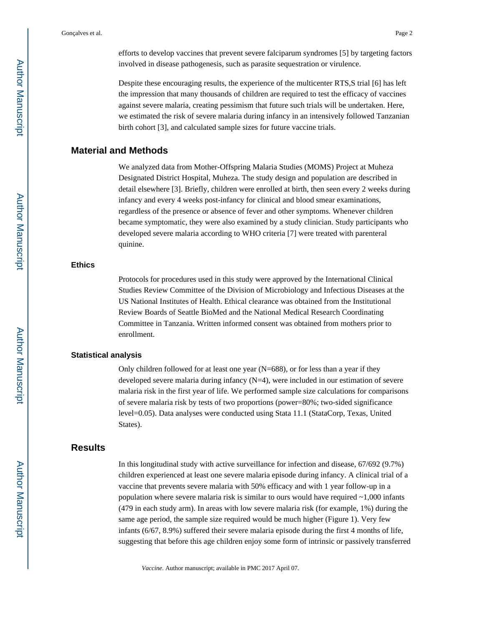Gonçalves et al. Page 2

efforts to develop vaccines that prevent severe falciparum syndromes [5] by targeting factors involved in disease pathogenesis, such as parasite sequestration or virulence.

Despite these encouraging results, the experience of the multicenter RTS,S trial [6] has left the impression that many thousands of children are required to test the efficacy of vaccines against severe malaria, creating pessimism that future such trials will be undertaken. Here, we estimated the risk of severe malaria during infancy in an intensively followed Tanzanian birth cohort [3], and calculated sample sizes for future vaccine trials.

# **Material and Methods**

We analyzed data from Mother-Offspring Malaria Studies (MOMS) Project at Muheza Designated District Hospital, Muheza. The study design and population are described in detail elsewhere [3]. Briefly, children were enrolled at birth, then seen every 2 weeks during infancy and every 4 weeks post-infancy for clinical and blood smear examinations, regardless of the presence or absence of fever and other symptoms. Whenever children became symptomatic, they were also examined by a study clinician. Study participants who developed severe malaria according to WHO criteria [7] were treated with parenteral quinine.

#### **Ethics**

Protocols for procedures used in this study were approved by the International Clinical Studies Review Committee of the Division of Microbiology and Infectious Diseases at the US National Institutes of Health. Ethical clearance was obtained from the Institutional Review Boards of Seattle BioMed and the National Medical Research Coordinating Committee in Tanzania. Written informed consent was obtained from mothers prior to enrollment.

#### **Statistical analysis**

Only children followed for at least one year (N=688), or for less than a year if they developed severe malaria during infancy  $(N=4)$ , were included in our estimation of severe malaria risk in the first year of life. We performed sample size calculations for comparisons of severe malaria risk by tests of two proportions (power=80%; two-sided significance level=0.05). Data analyses were conducted using Stata 11.1 (StataCorp, Texas, United States).

# **Results**

In this longitudinal study with active surveillance for infection and disease, 67/692 (9.7%) children experienced at least one severe malaria episode during infancy. A clinical trial of a vaccine that prevents severe malaria with 50% efficacy and with 1 year follow-up in a population where severe malaria risk is similar to ours would have required ~1,000 infants (479 in each study arm). In areas with low severe malaria risk (for example, 1%) during the same age period, the sample size required would be much higher (Figure 1). Very few infants (6/67, 8.9%) suffered their severe malaria episode during the first 4 months of life, suggesting that before this age children enjoy some form of intrinsic or passively transferred

*Vaccine*. Author manuscript; available in PMC 2017 April 07.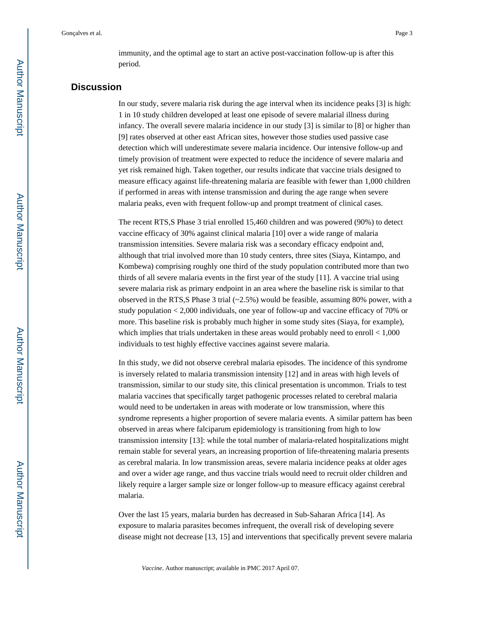immunity, and the optimal age to start an active post-vaccination follow-up is after this period.

# **Discussion**

In our study, severe malaria risk during the age interval when its incidence peaks [3] is high: 1 in 10 study children developed at least one episode of severe malarial illness during infancy. The overall severe malaria incidence in our study [3] is similar to [8] or higher than [9] rates observed at other east African sites, however those studies used passive case detection which will underestimate severe malaria incidence. Our intensive follow-up and timely provision of treatment were expected to reduce the incidence of severe malaria and yet risk remained high. Taken together, our results indicate that vaccine trials designed to measure efficacy against life-threatening malaria are feasible with fewer than 1,000 children if performed in areas with intense transmission and during the age range when severe malaria peaks, even with frequent follow-up and prompt treatment of clinical cases.

The recent RTS,S Phase 3 trial enrolled 15,460 children and was powered (90%) to detect vaccine efficacy of 30% against clinical malaria [10] over a wide range of malaria transmission intensities. Severe malaria risk was a secondary efficacy endpoint and, although that trial involved more than 10 study centers, three sites (Siaya, Kintampo, and Kombewa) comprising roughly one third of the study population contributed more than two thirds of all severe malaria events in the first year of the study [11]. A vaccine trial using severe malaria risk as primary endpoint in an area where the baseline risk is similar to that observed in the RTS,S Phase 3 trial (~2.5%) would be feasible, assuming 80% power, with a study population < 2,000 individuals, one year of follow-up and vaccine efficacy of 70% or more. This baseline risk is probably much higher in some study sites (Siaya, for example), which implies that trials undertaken in these areas would probably need to enroll  $< 1,000$ individuals to test highly effective vaccines against severe malaria.

In this study, we did not observe cerebral malaria episodes. The incidence of this syndrome is inversely related to malaria transmission intensity [12] and in areas with high levels of transmission, similar to our study site, this clinical presentation is uncommon. Trials to test malaria vaccines that specifically target pathogenic processes related to cerebral malaria would need to be undertaken in areas with moderate or low transmission, where this syndrome represents a higher proportion of severe malaria events. A similar pattern has been observed in areas where falciparum epidemiology is transitioning from high to low transmission intensity [13]: while the total number of malaria-related hospitalizations might remain stable for several years, an increasing proportion of life-threatening malaria presents as cerebral malaria. In low transmission areas, severe malaria incidence peaks at older ages and over a wider age range, and thus vaccine trials would need to recruit older children and likely require a larger sample size or longer follow-up to measure efficacy against cerebral malaria.

Over the last 15 years, malaria burden has decreased in Sub-Saharan Africa [14]. As exposure to malaria parasites becomes infrequent, the overall risk of developing severe disease might not decrease [13, 15] and interventions that specifically prevent severe malaria

*Vaccine*. Author manuscript; available in PMC 2017 April 07.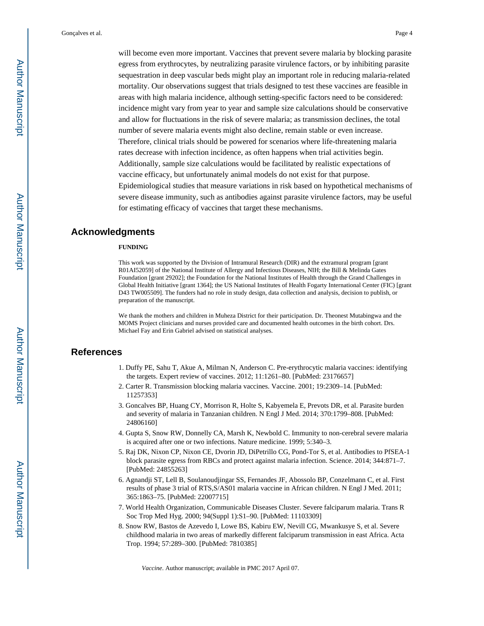will become even more important. Vaccines that prevent severe malaria by blocking parasite egress from erythrocytes, by neutralizing parasite virulence factors, or by inhibiting parasite sequestration in deep vascular beds might play an important role in reducing malaria-related mortality. Our observations suggest that trials designed to test these vaccines are feasible in areas with high malaria incidence, although setting-specific factors need to be considered: incidence might vary from year to year and sample size calculations should be conservative and allow for fluctuations in the risk of severe malaria; as transmission declines, the total number of severe malaria events might also decline, remain stable or even increase.

Therefore, clinical trials should be powered for scenarios where life-threatening malaria rates decrease with infection incidence, as often happens when trial activities begin. Additionally, sample size calculations would be facilitated by realistic expectations of vaccine efficacy, but unfortunately animal models do not exist for that purpose.

Epidemiological studies that measure variations in risk based on hypothetical mechanisms of severe disease immunity, such as antibodies against parasite virulence factors, may be useful for estimating efficacy of vaccines that target these mechanisms.

## **Acknowledgments**

#### **FUNDING**

This work was supported by the Division of Intramural Research (DIR) and the extramural program [grant R01AI52059] of the National Institute of Allergy and Infectious Diseases, NIH; the Bill & Melinda Gates Foundation [grant 29202]; the Foundation for the National Institutes of Health through the Grand Challenges in Global Health Initiative [grant 1364]; the US National Institutes of Health Fogarty International Center (FIC) [grant D43 TW005509]. The funders had no role in study design, data collection and analysis, decision to publish, or preparation of the manuscript.

We thank the mothers and children in Muheza District for their participation. Dr. Theonest Mutabingwa and the MOMS Project clinicians and nurses provided care and documented health outcomes in the birth cohort. Drs. Michael Fay and Erin Gabriel advised on statistical analyses.

## **References**

- 1. Duffy PE, Sahu T, Akue A, Milman N, Anderson C. Pre-erythrocytic malaria vaccines: identifying the targets. Expert review of vaccines. 2012; 11:1261–80. [PubMed: 23176657]
- 2. Carter R. Transmission blocking malaria vaccines. Vaccine. 2001; 19:2309–14. [PubMed: 11257353]
- 3. Goncalves BP, Huang CY, Morrison R, Holte S, Kabyemela E, Prevots DR, et al. Parasite burden and severity of malaria in Tanzanian children. N Engl J Med. 2014; 370:1799–808. [PubMed: 24806160]
- 4. Gupta S, Snow RW, Donnelly CA, Marsh K, Newbold C. Immunity to non-cerebral severe malaria is acquired after one or two infections. Nature medicine. 1999; 5:340–3.
- 5. Raj DK, Nixon CP, Nixon CE, Dvorin JD, DiPetrillo CG, Pond-Tor S, et al. Antibodies to PfSEA-1 block parasite egress from RBCs and protect against malaria infection. Science. 2014; 344:871–7. [PubMed: 24855263]
- 6. Agnandji ST, Lell B, Soulanoudjingar SS, Fernandes JF, Abossolo BP, Conzelmann C, et al. First results of phase 3 trial of RTS,S/AS01 malaria vaccine in African children. N Engl J Med. 2011; 365:1863–75. [PubMed: 22007715]
- 7. World Health Organization, Communicable Diseases Cluster. Severe falciparum malaria. Trans R Soc Trop Med Hyg. 2000; 94(Suppl 1):S1–90. [PubMed: 11103309]
- 8. Snow RW, Bastos de Azevedo I, Lowe BS, Kabiru EW, Nevill CG, Mwankusye S, et al. Severe childhood malaria in two areas of markedly different falciparum transmission in east Africa. Acta Trop. 1994; 57:289–300. [PubMed: 7810385]

*Vaccine*. Author manuscript; available in PMC 2017 April 07.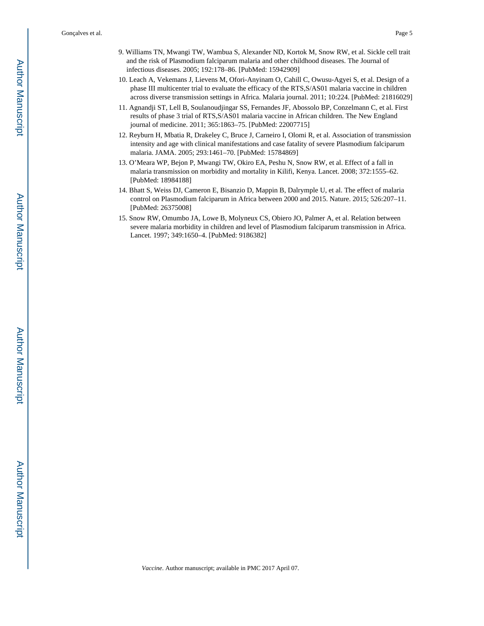Gonçalves et al. Page 5

- 9. Williams TN, Mwangi TW, Wambua S, Alexander ND, Kortok M, Snow RW, et al. Sickle cell trait and the risk of Plasmodium falciparum malaria and other childhood diseases. The Journal of infectious diseases. 2005; 192:178–86. [PubMed: 15942909]
- 10. Leach A, Vekemans J, Lievens M, Ofori-Anyinam O, Cahill C, Owusu-Agyei S, et al. Design of a phase III multicenter trial to evaluate the efficacy of the RTS,S/AS01 malaria vaccine in children across diverse transmission settings in Africa. Malaria journal. 2011; 10:224. [PubMed: 21816029]
- 11. Agnandji ST, Lell B, Soulanoudjingar SS, Fernandes JF, Abossolo BP, Conzelmann C, et al. First results of phase 3 trial of RTS,S/AS01 malaria vaccine in African children. The New England journal of medicine. 2011; 365:1863–75. [PubMed: 22007715]
- 12. Reyburn H, Mbatia R, Drakeley C, Bruce J, Carneiro I, Olomi R, et al. Association of transmission intensity and age with clinical manifestations and case fatality of severe Plasmodium falciparum malaria. JAMA. 2005; 293:1461–70. [PubMed: 15784869]
- 13. O'Meara WP, Bejon P, Mwangi TW, Okiro EA, Peshu N, Snow RW, et al. Effect of a fall in malaria transmission on morbidity and mortality in Kilifi, Kenya. Lancet. 2008; 372:1555–62. [PubMed: 18984188]
- 14. Bhatt S, Weiss DJ, Cameron E, Bisanzio D, Mappin B, Dalrymple U, et al. The effect of malaria control on Plasmodium falciparum in Africa between 2000 and 2015. Nature. 2015; 526:207–11. [PubMed: 26375008]
- 15. Snow RW, Omumbo JA, Lowe B, Molyneux CS, Obiero JO, Palmer A, et al. Relation between severe malaria morbidity in children and level of Plasmodium falciparum transmission in Africa. Lancet. 1997; 349:1650–4. [PubMed: 9186382]